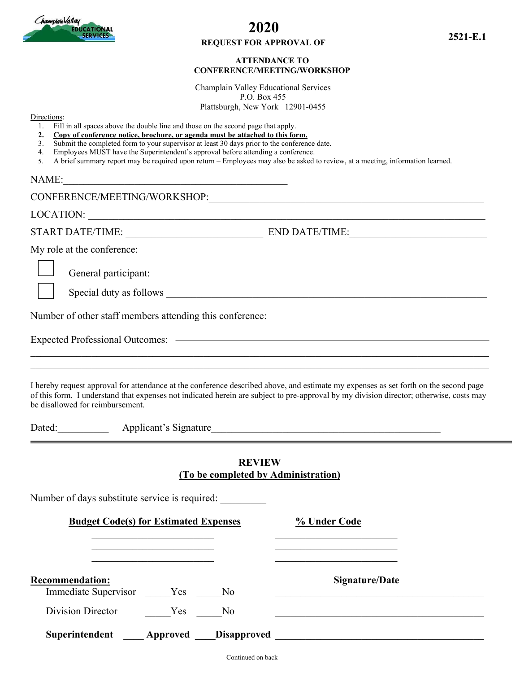

# **2020**

### **REQUEST FOR APPROVAL OF**

### **ATTENDANCE TO CONFERENCE/MEETING/WORKSHOP**

Champlain Valley Educational Services P.O. Box 455 Plattsburgh, New York 12901-0455

Directions:

- **2. Copy of conference notice, brochure, or agenda must be attached to this form.**
- 3. Submit the completed form to your supervisor at least 30 days prior to the conference date.
- 4. Employees MUST have the Superintendent's approval before attending a conference.
- 5. A brief summary report may be required upon return Employees may also be asked to review, at a meeting, information learned.

 $NAME:$ 

CONFERENCE/MEETING/WORKSHOP: LOCATION: \_\_\_\_\_\_\_\_\_\_\_\_\_\_\_\_\_\_\_\_\_\_\_\_\_\_\_\_\_\_\_\_\_\_\_\_\_\_\_\_\_\_\_\_\_\_\_\_\_\_\_\_\_\_\_\_\_\_\_\_\_\_\_\_\_\_\_\_\_\_\_\_\_\_\_\_\_\_ START DATE/TIME: \_\_\_\_\_\_\_\_\_\_\_\_\_\_\_\_\_\_\_\_\_\_\_\_\_\_\_ END DATE/TIME:\_\_\_\_\_\_\_\_\_\_\_\_\_\_\_\_\_\_\_\_\_\_\_\_\_\_\_ My role at the conference: General participant: Special duty as follows  $\Box$ Number of other staff members attending this conference: Expected Professional Outcomes: \_\_\_\_\_\_\_\_\_\_\_\_\_\_\_\_\_\_\_\_\_\_\_\_\_\_\_\_\_\_\_\_\_\_\_\_\_\_\_\_\_\_\_\_\_\_\_\_\_\_\_\_\_\_\_\_\_\_\_\_\_\_\_\_\_\_\_\_\_\_\_\_\_\_\_\_\_\_\_\_\_\_\_\_\_\_\_\_\_\_  $\_$  , and the set of the set of the set of the set of the set of the set of the set of the set of the set of the set of the set of the set of the set of the set of the set of the set of the set of the set of the set of th

I hereby request approval for attendance at the conference described above, and estimate my expenses as set forth on the second page of this form. I understand that expenses not indicated herein are subject to pre-approval by my division director; otherwise, costs may be disallowed for reimbursement.

Dated: Applicant's Signature

Number of days substitute service is required:

### **REVIEW (To be completed by Administration)**

| <b>Budget Code(s) for Estimated Expenses</b>     |     |     | % Under Code                        |
|--------------------------------------------------|-----|-----|-------------------------------------|
|                                                  |     |     |                                     |
| <b>Recommendation:</b>                           |     |     | Signature/Date                      |
| Immediate Supervisor Yes No<br>Division Director | Yes | No. |                                     |
|                                                  |     |     | Superintendent Approved Disapproved |